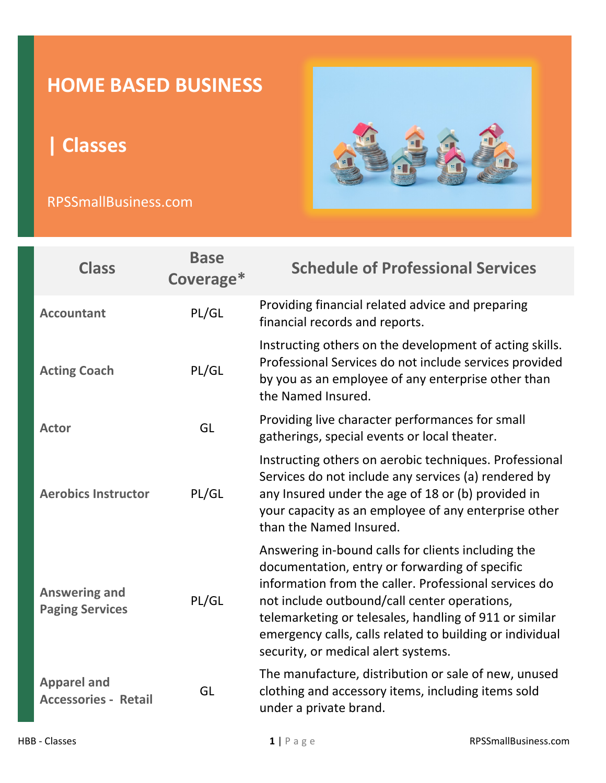## **HOME BASED BUSINESS**

**| Classes**

## RPSSmallBusiness.com



| <b>Class</b>                                      | <b>Base</b><br>Coverage* | <b>Schedule of Professional Services</b>                                                                                                                                                                                                                                                                                                                                   |
|---------------------------------------------------|--------------------------|----------------------------------------------------------------------------------------------------------------------------------------------------------------------------------------------------------------------------------------------------------------------------------------------------------------------------------------------------------------------------|
| <b>Accountant</b>                                 | PL/GL                    | Providing financial related advice and preparing<br>financial records and reports.                                                                                                                                                                                                                                                                                         |
| <b>Acting Coach</b>                               | PL/GL                    | Instructing others on the development of acting skills.<br>Professional Services do not include services provided<br>by you as an employee of any enterprise other than<br>the Named Insured.                                                                                                                                                                              |
| <b>Actor</b>                                      | GL                       | Providing live character performances for small<br>gatherings, special events or local theater.                                                                                                                                                                                                                                                                            |
| <b>Aerobics Instructor</b>                        | PL/GL                    | Instructing others on aerobic techniques. Professional<br>Services do not include any services (a) rendered by<br>any Insured under the age of 18 or (b) provided in<br>your capacity as an employee of any enterprise other<br>than the Named Insured.                                                                                                                    |
| <b>Answering and</b><br><b>Paging Services</b>    | PL/GL                    | Answering in-bound calls for clients including the<br>documentation, entry or forwarding of specific<br>information from the caller. Professional services do<br>not include outbound/call center operations,<br>telemarketing or telesales, handling of 911 or similar<br>emergency calls, calls related to building or individual<br>security, or medical alert systems. |
| <b>Apparel and</b><br><b>Accessories - Retail</b> | GL                       | The manufacture, distribution or sale of new, unused<br>clothing and accessory items, including items sold<br>under a private brand.                                                                                                                                                                                                                                       |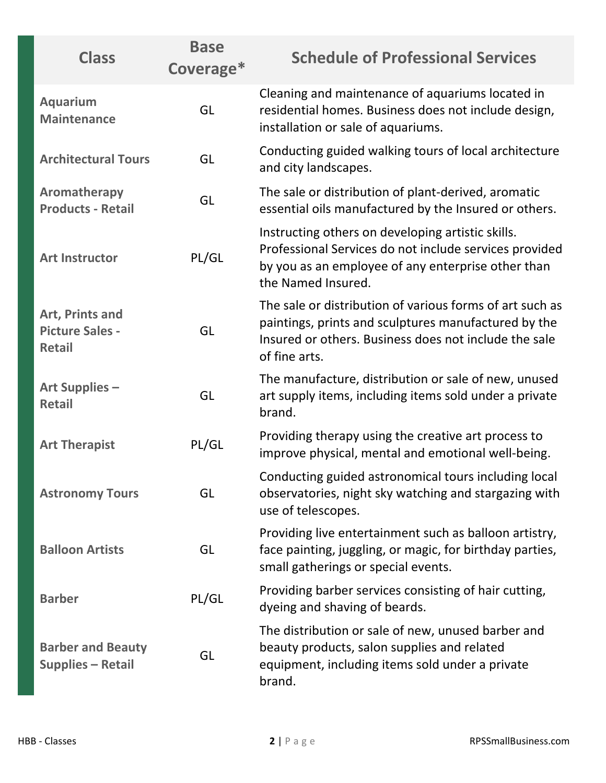| <b>Class</b>                                               | <b>Base</b><br>Coverage* | <b>Schedule of Professional Services</b>                                                                                                                                                   |
|------------------------------------------------------------|--------------------------|--------------------------------------------------------------------------------------------------------------------------------------------------------------------------------------------|
| <b>Aquarium</b><br><b>Maintenance</b>                      | GL                       | Cleaning and maintenance of aquariums located in<br>residential homes. Business does not include design,<br>installation or sale of aquariums.                                             |
| <b>Architectural Tours</b>                                 | GL                       | Conducting guided walking tours of local architecture<br>and city landscapes.                                                                                                              |
| Aromatherapy<br><b>Products - Retail</b>                   | GL                       | The sale or distribution of plant-derived, aromatic<br>essential oils manufactured by the Insured or others.                                                                               |
| <b>Art Instructor</b>                                      | PL/GL                    | Instructing others on developing artistic skills.<br>Professional Services do not include services provided<br>by you as an employee of any enterprise other than<br>the Named Insured.    |
| Art, Prints and<br><b>Picture Sales -</b><br><b>Retail</b> | GL                       | The sale or distribution of various forms of art such as<br>paintings, prints and sculptures manufactured by the<br>Insured or others. Business does not include the sale<br>of fine arts. |
| <b>Art Supplies -</b><br><b>Retail</b>                     | GL                       | The manufacture, distribution or sale of new, unused<br>art supply items, including items sold under a private<br>brand.                                                                   |
| <b>Art Therapist</b>                                       | PL/GL                    | Providing therapy using the creative art process to<br>improve physical, mental and emotional well-being.                                                                                  |
| <b>Astronomy Tours</b>                                     | GL                       | Conducting guided astronomical tours including local<br>observatories, night sky watching and stargazing with<br>use of telescopes.                                                        |
| <b>Balloon Artists</b>                                     | GL                       | Providing live entertainment such as balloon artistry,<br>face painting, juggling, or magic, for birthday parties,<br>small gatherings or special events.                                  |
| <b>Barber</b>                                              | PL/GL                    | Providing barber services consisting of hair cutting,<br>dyeing and shaving of beards.                                                                                                     |
| <b>Barber and Beauty</b><br><b>Supplies - Retail</b>       | GL                       | The distribution or sale of new, unused barber and<br>beauty products, salon supplies and related<br>equipment, including items sold under a private<br>brand.                             |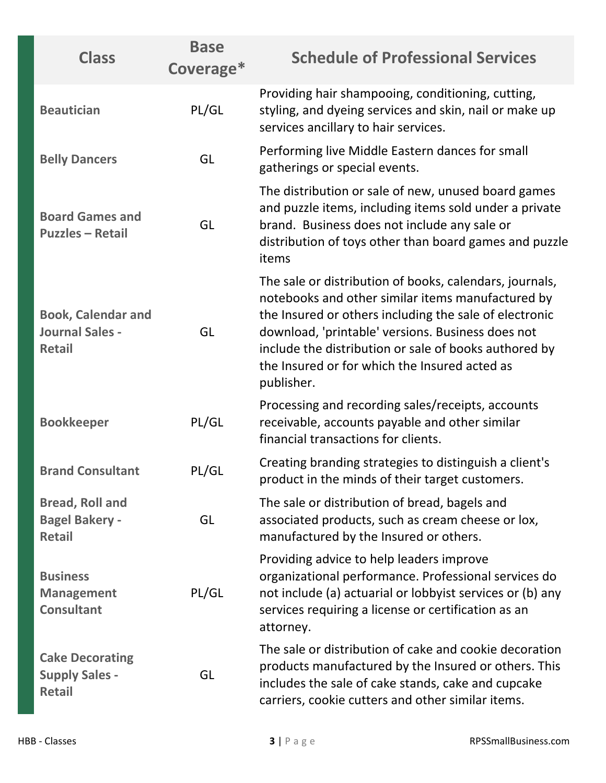| <b>Class</b>                                                         | <b>Base</b><br>Coverage* | <b>Schedule of Professional Services</b>                                                                                                                                                                                                                                                                                                            |
|----------------------------------------------------------------------|--------------------------|-----------------------------------------------------------------------------------------------------------------------------------------------------------------------------------------------------------------------------------------------------------------------------------------------------------------------------------------------------|
| <b>Beautician</b>                                                    | PL/GL                    | Providing hair shampooing, conditioning, cutting,<br>styling, and dyeing services and skin, nail or make up<br>services ancillary to hair services.                                                                                                                                                                                                 |
| <b>Belly Dancers</b>                                                 | GL                       | Performing live Middle Eastern dances for small<br>gatherings or special events.                                                                                                                                                                                                                                                                    |
| <b>Board Games and</b><br><b>Puzzles - Retail</b>                    | GL                       | The distribution or sale of new, unused board games<br>and puzzle items, including items sold under a private<br>brand. Business does not include any sale or<br>distribution of toys other than board games and puzzle<br>items                                                                                                                    |
| <b>Book, Calendar and</b><br><b>Journal Sales -</b><br><b>Retail</b> | GL                       | The sale or distribution of books, calendars, journals,<br>notebooks and other similar items manufactured by<br>the Insured or others including the sale of electronic<br>download, 'printable' versions. Business does not<br>include the distribution or sale of books authored by<br>the Insured or for which the Insured acted as<br>publisher. |
| <b>Bookkeeper</b>                                                    | PL/GL                    | Processing and recording sales/receipts, accounts<br>receivable, accounts payable and other similar<br>financial transactions for clients.                                                                                                                                                                                                          |
| <b>Brand Consultant</b>                                              | PL/GL                    | Creating branding strategies to distinguish a client's<br>product in the minds of their target customers.                                                                                                                                                                                                                                           |
| <b>Bread, Roll and</b><br><b>Bagel Bakery -</b><br><b>Retail</b>     | GL                       | The sale or distribution of bread, bagels and<br>associated products, such as cream cheese or lox,<br>manufactured by the Insured or others.                                                                                                                                                                                                        |
| <b>Business</b><br><b>Management</b><br><b>Consultant</b>            | PL/GL                    | Providing advice to help leaders improve<br>organizational performance. Professional services do<br>not include (a) actuarial or lobbyist services or (b) any<br>services requiring a license or certification as an<br>attorney.                                                                                                                   |
| <b>Cake Decorating</b><br><b>Supply Sales -</b><br><b>Retail</b>     | GL                       | The sale or distribution of cake and cookie decoration<br>products manufactured by the Insured or others. This<br>includes the sale of cake stands, cake and cupcake<br>carriers, cookie cutters and other similar items.                                                                                                                           |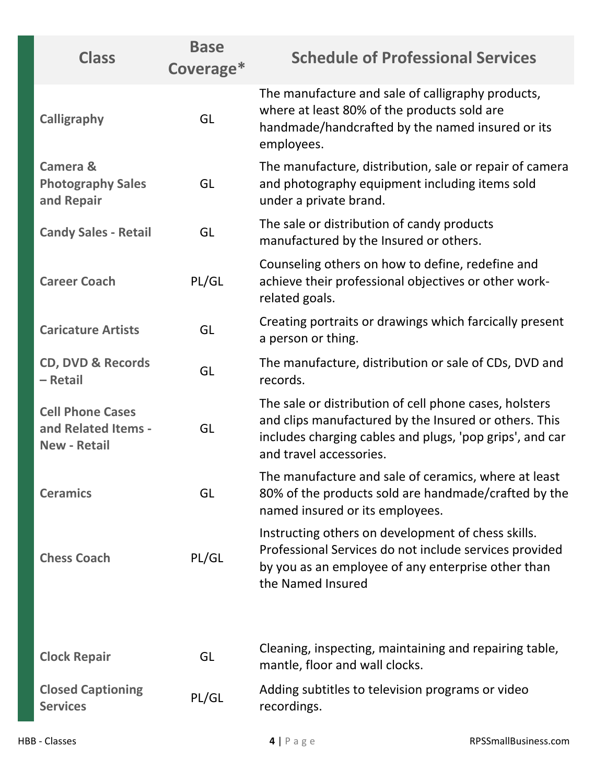| <b>Class</b>                                                          | <b>Base</b><br>Coverage* | <b>Schedule of Professional Services</b>                                                                                                                                                               |
|-----------------------------------------------------------------------|--------------------------|--------------------------------------------------------------------------------------------------------------------------------------------------------------------------------------------------------|
| <b>Calligraphy</b>                                                    | GL                       | The manufacture and sale of calligraphy products,<br>where at least 80% of the products sold are<br>handmade/handcrafted by the named insured or its<br>employees.                                     |
| Camera &<br><b>Photography Sales</b><br>and Repair                    | GL                       | The manufacture, distribution, sale or repair of camera<br>and photography equipment including items sold<br>under a private brand.                                                                    |
| <b>Candy Sales - Retail</b>                                           | GL                       | The sale or distribution of candy products<br>manufactured by the Insured or others.                                                                                                                   |
| <b>Career Coach</b>                                                   | PL/GL                    | Counseling others on how to define, redefine and<br>achieve their professional objectives or other work-<br>related goals.                                                                             |
| <b>Caricature Artists</b>                                             | GL                       | Creating portraits or drawings which farcically present<br>a person or thing.                                                                                                                          |
| <b>CD, DVD &amp; Records</b><br>- Retail                              | GL                       | The manufacture, distribution or sale of CDs, DVD and<br>records.                                                                                                                                      |
| <b>Cell Phone Cases</b><br>and Related Items -<br><b>New - Retail</b> | GL                       | The sale or distribution of cell phone cases, holsters<br>and clips manufactured by the Insured or others. This<br>includes charging cables and plugs, 'pop grips', and car<br>and travel accessories. |
| <b>Ceramics</b>                                                       | GL                       | The manufacture and sale of ceramics, where at least<br>80% of the products sold are handmade/crafted by the<br>named insured or its employees.                                                        |
| <b>Chess Coach</b>                                                    | PL/GL                    | Instructing others on development of chess skills.<br>Professional Services do not include services provided<br>by you as an employee of any enterprise other than<br>the Named Insured                |
|                                                                       |                          | Cleaning, inspecting, maintaining and repairing table,                                                                                                                                                 |
| <b>Clock Repair</b>                                                   | GL                       | mantle, floor and wall clocks.                                                                                                                                                                         |
| <b>Closed Captioning</b><br><b>Services</b>                           | PL/GL                    | Adding subtitles to television programs or video<br>recordings.                                                                                                                                        |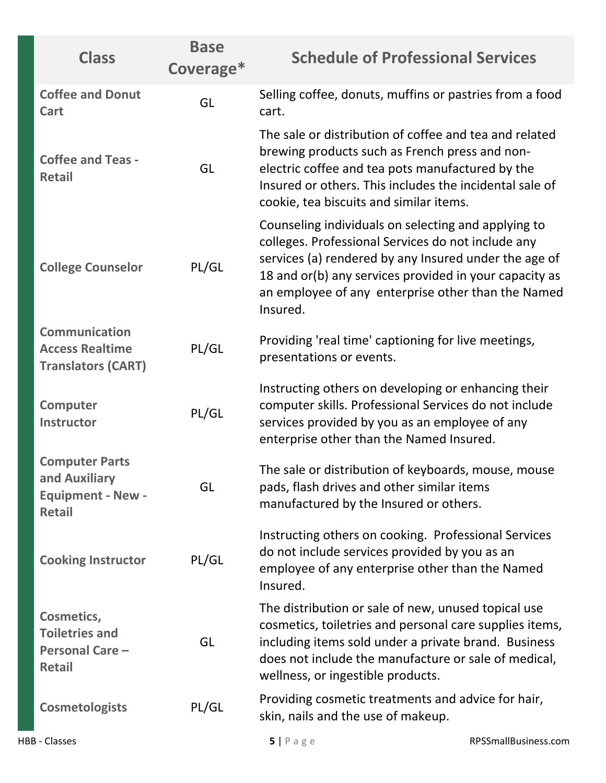| <b>Class</b>                                                                        | <b>Base</b><br>Coverage* | <b>Schedule of Professional Services</b>                                                                                                                                                                                                                                                       |
|-------------------------------------------------------------------------------------|--------------------------|------------------------------------------------------------------------------------------------------------------------------------------------------------------------------------------------------------------------------------------------------------------------------------------------|
| <b>Coffee and Donut</b><br>Cart                                                     | GL                       | Selling coffee, donuts, muffins or pastries from a food<br>cart.                                                                                                                                                                                                                               |
| <b>Coffee and Teas -</b><br><b>Retail</b>                                           | GL                       | The sale or distribution of coffee and tea and related<br>brewing products such as French press and non-<br>electric coffee and tea pots manufactured by the<br>Insured or others. This includes the incidental sale of<br>cookie, tea biscuits and similar items.                             |
| <b>College Counselor</b>                                                            | PL/GL                    | Counseling individuals on selecting and applying to<br>colleges. Professional Services do not include any<br>services (a) rendered by any Insured under the age of<br>18 and or(b) any services provided in your capacity as<br>an employee of any enterprise other than the Named<br>Insured. |
| Communication<br><b>Access Realtime</b><br><b>Translators (CART)</b>                | PL/GL                    | Providing 'real time' captioning for live meetings,<br>presentations or events.                                                                                                                                                                                                                |
| <b>Computer</b><br><b>Instructor</b>                                                | PL/GL                    | Instructing others on developing or enhancing their<br>computer skills. Professional Services do not include<br>services provided by you as an employee of any<br>enterprise other than the Named Insured.                                                                                     |
| <b>Computer Parts</b><br>and Auxiliary<br><b>Equipment - New -</b><br><b>Retail</b> | GL                       | The sale or distribution of keyboards, mouse, mouse<br>pads, flash drives and other similar items<br>manufactured by the Insured or others.                                                                                                                                                    |
| <b>Cooking Instructor</b>                                                           | PL/GL                    | Instructing others on cooking. Professional Services<br>do not include services provided by you as an<br>employee of any enterprise other than the Named<br>Insured.                                                                                                                           |
| Cosmetics,<br><b>Toiletries and</b><br><b>Personal Care -</b><br><b>Retail</b>      | GL                       | The distribution or sale of new, unused topical use<br>cosmetics, toiletries and personal care supplies items,<br>including items sold under a private brand. Business<br>does not include the manufacture or sale of medical,<br>wellness, or ingestible products.                            |
| <b>Cosmetologists</b>                                                               | PL/GL                    | Providing cosmetic treatments and advice for hair,<br>skin, nails and the use of makeup.                                                                                                                                                                                                       |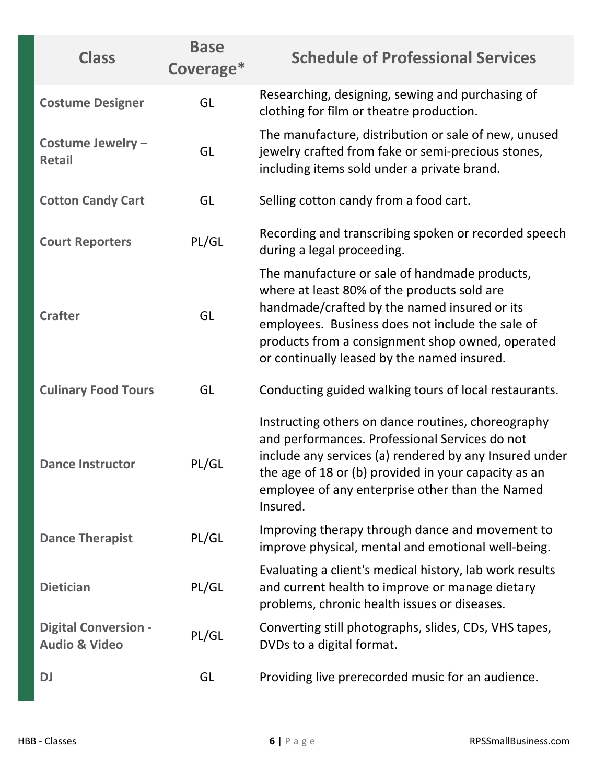| <b>Class</b>                                            | <b>Base</b><br>Coverage* | <b>Schedule of Professional Services</b>                                                                                                                                                                                                                                                            |
|---------------------------------------------------------|--------------------------|-----------------------------------------------------------------------------------------------------------------------------------------------------------------------------------------------------------------------------------------------------------------------------------------------------|
| <b>Costume Designer</b>                                 | GL                       | Researching, designing, sewing and purchasing of<br>clothing for film or theatre production.                                                                                                                                                                                                        |
| Costume Jewelry -<br><b>Retail</b>                      | GL                       | The manufacture, distribution or sale of new, unused<br>jewelry crafted from fake or semi-precious stones,<br>including items sold under a private brand.                                                                                                                                           |
| <b>Cotton Candy Cart</b>                                | GL                       | Selling cotton candy from a food cart.                                                                                                                                                                                                                                                              |
| <b>Court Reporters</b>                                  | PL/GL                    | Recording and transcribing spoken or recorded speech<br>during a legal proceeding.                                                                                                                                                                                                                  |
| <b>Crafter</b>                                          | GL                       | The manufacture or sale of handmade products,<br>where at least 80% of the products sold are<br>handmade/crafted by the named insured or its<br>employees. Business does not include the sale of<br>products from a consignment shop owned, operated<br>or continually leased by the named insured. |
| <b>Culinary Food Tours</b>                              | GL                       | Conducting guided walking tours of local restaurants.                                                                                                                                                                                                                                               |
| <b>Dance Instructor</b>                                 | PL/GL                    | Instructing others on dance routines, choreography<br>and performances. Professional Services do not<br>include any services (a) rendered by any Insured under<br>the age of 18 or (b) provided in your capacity as an<br>employee of any enterprise other than the Named<br>Insured.               |
| <b>Dance Therapist</b>                                  | PL/GL                    | Improving therapy through dance and movement to<br>improve physical, mental and emotional well-being.                                                                                                                                                                                               |
| <b>Dietician</b>                                        | PL/GL                    | Evaluating a client's medical history, lab work results<br>and current health to improve or manage dietary<br>problems, chronic health issues or diseases.                                                                                                                                          |
| <b>Digital Conversion -</b><br><b>Audio &amp; Video</b> | PL/GL                    | Converting still photographs, slides, CDs, VHS tapes,<br>DVDs to a digital format.                                                                                                                                                                                                                  |
| <b>DJ</b>                                               | GL                       | Providing live prerecorded music for an audience.                                                                                                                                                                                                                                                   |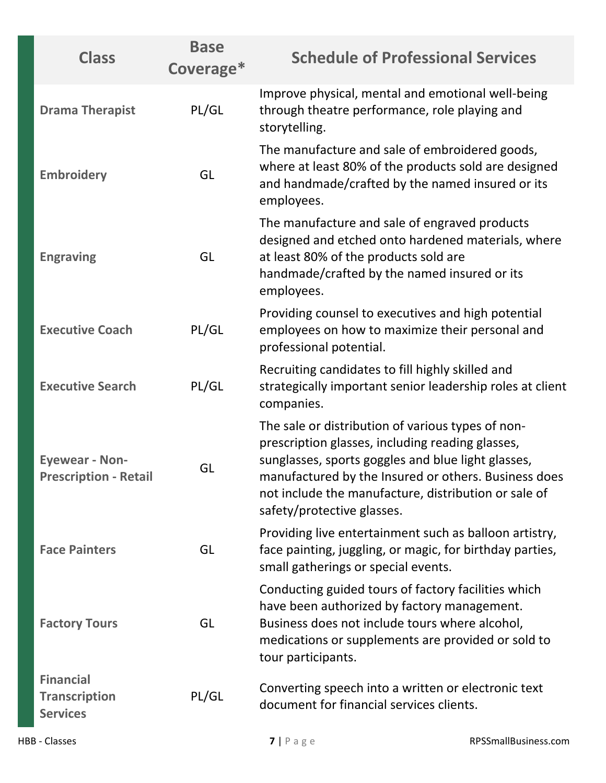| <b>Class</b>                                                | <b>Base</b><br>Coverage* | <b>Schedule of Professional Services</b>                                                                                                                                                                                                                                                                  |
|-------------------------------------------------------------|--------------------------|-----------------------------------------------------------------------------------------------------------------------------------------------------------------------------------------------------------------------------------------------------------------------------------------------------------|
| <b>Drama Therapist</b>                                      | PL/GL                    | Improve physical, mental and emotional well-being<br>through theatre performance, role playing and<br>storytelling.                                                                                                                                                                                       |
| <b>Embroidery</b>                                           | GL                       | The manufacture and sale of embroidered goods,<br>where at least 80% of the products sold are designed<br>and handmade/crafted by the named insured or its<br>employees.                                                                                                                                  |
| <b>Engraving</b>                                            | GL                       | The manufacture and sale of engraved products<br>designed and etched onto hardened materials, where<br>at least 80% of the products sold are<br>handmade/crafted by the named insured or its<br>employees.                                                                                                |
| <b>Executive Coach</b>                                      | PL/GL                    | Providing counsel to executives and high potential<br>employees on how to maximize their personal and<br>professional potential.                                                                                                                                                                          |
| <b>Executive Search</b>                                     | PL/GL                    | Recruiting candidates to fill highly skilled and<br>strategically important senior leadership roles at client<br>companies.                                                                                                                                                                               |
| <b>Eyewear - Non-</b><br><b>Prescription - Retail</b>       | GL                       | The sale or distribution of various types of non-<br>prescription glasses, including reading glasses,<br>sunglasses, sports goggles and blue light glasses,<br>manufactured by the Insured or others. Business does<br>not include the manufacture, distribution or sale of<br>safety/protective glasses. |
| <b>Face Painters</b>                                        | GL                       | Providing live entertainment such as balloon artistry,<br>face painting, juggling, or magic, for birthday parties,<br>small gatherings or special events.                                                                                                                                                 |
| <b>Factory Tours</b>                                        | GL                       | Conducting guided tours of factory facilities which<br>have been authorized by factory management.<br>Business does not include tours where alcohol,<br>medications or supplements are provided or sold to<br>tour participants.                                                                          |
| <b>Financial</b><br><b>Transcription</b><br><b>Services</b> | PL/GL                    | Converting speech into a written or electronic text<br>document for financial services clients.                                                                                                                                                                                                           |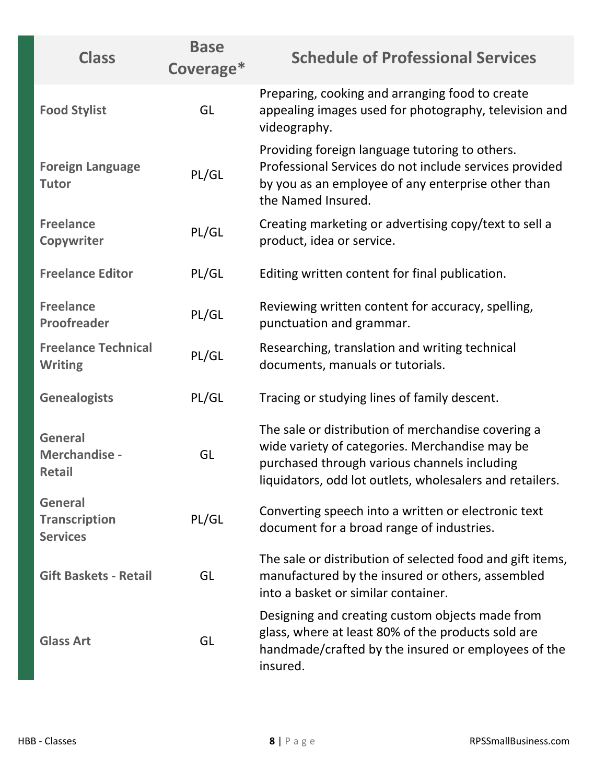| <b>Class</b>                                              | <b>Base</b><br>Coverage* | <b>Schedule of Professional Services</b>                                                                                                                                                                         |
|-----------------------------------------------------------|--------------------------|------------------------------------------------------------------------------------------------------------------------------------------------------------------------------------------------------------------|
| <b>Food Stylist</b>                                       | GL                       | Preparing, cooking and arranging food to create<br>appealing images used for photography, television and<br>videography.                                                                                         |
| <b>Foreign Language</b><br><b>Tutor</b>                   | PL/GL                    | Providing foreign language tutoring to others.<br>Professional Services do not include services provided<br>by you as an employee of any enterprise other than<br>the Named Insured.                             |
| <b>Freelance</b><br>Copywriter                            | PL/GL                    | Creating marketing or advertising copy/text to sell a<br>product, idea or service.                                                                                                                               |
| <b>Freelance Editor</b>                                   | PL/GL                    | Editing written content for final publication.                                                                                                                                                                   |
| <b>Freelance</b><br>Proofreader                           | PL/GL                    | Reviewing written content for accuracy, spelling,<br>punctuation and grammar.                                                                                                                                    |
| <b>Freelance Technical</b><br><b>Writing</b>              | PL/GL                    | Researching, translation and writing technical<br>documents, manuals or tutorials.                                                                                                                               |
| <b>Genealogists</b>                                       | PL/GL                    | Tracing or studying lines of family descent.                                                                                                                                                                     |
| <b>General</b><br>Merchandise -<br><b>Retail</b>          | GL                       | The sale or distribution of merchandise covering a<br>wide variety of categories. Merchandise may be<br>purchased through various channels including<br>liquidators, odd lot outlets, wholesalers and retailers. |
| <b>General</b><br><b>Transcription</b><br><b>Services</b> | PL/GL                    | Converting speech into a written or electronic text<br>document for a broad range of industries.                                                                                                                 |
| <b>Gift Baskets - Retail</b>                              | GL                       | The sale or distribution of selected food and gift items,<br>manufactured by the insured or others, assembled<br>into a basket or similar container.                                                             |
| <b>Glass Art</b>                                          | GL                       | Designing and creating custom objects made from<br>glass, where at least 80% of the products sold are<br>handmade/crafted by the insured or employees of the<br>insured.                                         |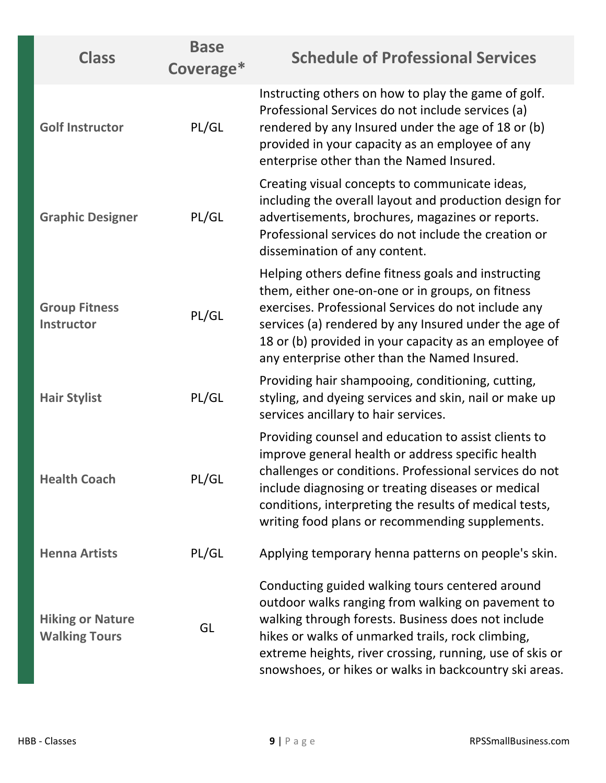| <b>Class</b>                                    | <b>Base</b><br>Coverage* | <b>Schedule of Professional Services</b>                                                                                                                                                                                                                                                                                               |
|-------------------------------------------------|--------------------------|----------------------------------------------------------------------------------------------------------------------------------------------------------------------------------------------------------------------------------------------------------------------------------------------------------------------------------------|
| <b>Golf Instructor</b>                          | PL/GL                    | Instructing others on how to play the game of golf.<br>Professional Services do not include services (a)<br>rendered by any Insured under the age of 18 or (b)<br>provided in your capacity as an employee of any<br>enterprise other than the Named Insured.                                                                          |
| <b>Graphic Designer</b>                         | PL/GL                    | Creating visual concepts to communicate ideas,<br>including the overall layout and production design for<br>advertisements, brochures, magazines or reports.<br>Professional services do not include the creation or<br>dissemination of any content.                                                                                  |
| <b>Group Fitness</b><br><b>Instructor</b>       | PL/GL                    | Helping others define fitness goals and instructing<br>them, either one-on-one or in groups, on fitness<br>exercises. Professional Services do not include any<br>services (a) rendered by any Insured under the age of<br>18 or (b) provided in your capacity as an employee of<br>any enterprise other than the Named Insured.       |
| <b>Hair Stylist</b>                             | PL/GL                    | Providing hair shampooing, conditioning, cutting,<br>styling, and dyeing services and skin, nail or make up<br>services ancillary to hair services.                                                                                                                                                                                    |
| <b>Health Coach</b>                             | PL/GL                    | Providing counsel and education to assist clients to<br>improve general health or address specific health<br>challenges or conditions. Professional services do not<br>include diagnosing or treating diseases or medical<br>conditions, interpreting the results of medical tests,<br>writing food plans or recommending supplements. |
| <b>Henna Artists</b>                            | PL/GL                    | Applying temporary henna patterns on people's skin.                                                                                                                                                                                                                                                                                    |
| <b>Hiking or Nature</b><br><b>Walking Tours</b> | GL                       | Conducting guided walking tours centered around<br>outdoor walks ranging from walking on pavement to<br>walking through forests. Business does not include<br>hikes or walks of unmarked trails, rock climbing,<br>extreme heights, river crossing, running, use of skis or<br>snowshoes, or hikes or walks in backcountry ski areas.  |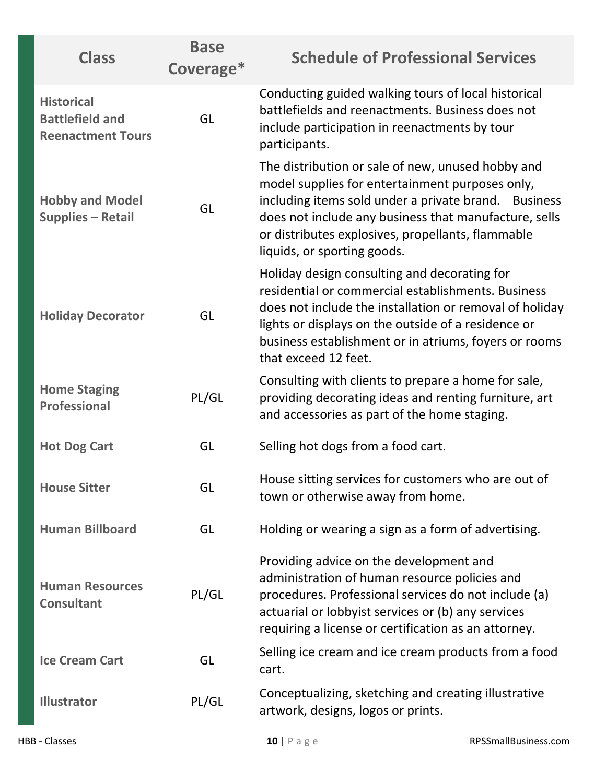| <b>Class</b>                                                            | <b>Base</b><br>Coverage* | <b>Schedule of Professional Services</b>                                                                                                                                                                                                                                                                  |
|-------------------------------------------------------------------------|--------------------------|-----------------------------------------------------------------------------------------------------------------------------------------------------------------------------------------------------------------------------------------------------------------------------------------------------------|
| <b>Historical</b><br><b>Battlefield and</b><br><b>Reenactment Tours</b> | GL                       | Conducting guided walking tours of local historical<br>battlefields and reenactments. Business does not<br>include participation in reenactments by tour<br>participants.                                                                                                                                 |
| <b>Hobby and Model</b><br><b>Supplies - Retail</b>                      | GL                       | The distribution or sale of new, unused hobby and<br>model supplies for entertainment purposes only,<br>including items sold under a private brand. Business<br>does not include any business that manufacture, sells<br>or distributes explosives, propellants, flammable<br>liquids, or sporting goods. |
| <b>Holiday Decorator</b>                                                | GL                       | Holiday design consulting and decorating for<br>residential or commercial establishments. Business<br>does not include the installation or removal of holiday<br>lights or displays on the outside of a residence or<br>business establishment or in atriums, foyers or rooms<br>that exceed 12 feet.     |
| <b>Home Staging</b><br><b>Professional</b>                              | PL/GL                    | Consulting with clients to prepare a home for sale,<br>providing decorating ideas and renting furniture, art<br>and accessories as part of the home staging.                                                                                                                                              |
| <b>Hot Dog Cart</b>                                                     | GL                       | Selling hot dogs from a food cart.                                                                                                                                                                                                                                                                        |
| <b>House Sitter</b>                                                     | GL                       | House sitting services for customers who are out of<br>town or otherwise away from home.                                                                                                                                                                                                                  |
| <b>Human Billboard</b>                                                  | GL                       | Holding or wearing a sign as a form of advertising.                                                                                                                                                                                                                                                       |
| <b>Human Resources</b><br><b>Consultant</b>                             | PL/GL                    | Providing advice on the development and<br>administration of human resource policies and<br>procedures. Professional services do not include (a)<br>actuarial or lobbyist services or (b) any services<br>requiring a license or certification as an attorney.                                            |
| <b>Ice Cream Cart</b>                                                   | GL                       | Selling ice cream and ice cream products from a food<br>cart.                                                                                                                                                                                                                                             |
| <b>Illustrator</b>                                                      | PL/GL                    | Conceptualizing, sketching and creating illustrative<br>artwork, designs, logos or prints.                                                                                                                                                                                                                |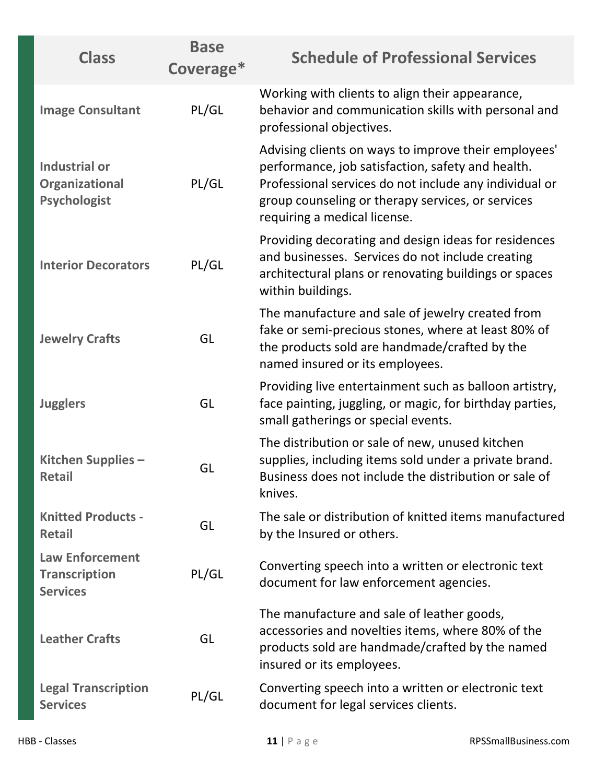| <b>Class</b>                                                      | <b>Base</b><br>Coverage* | <b>Schedule of Professional Services</b>                                                                                                                                                                                                                 |
|-------------------------------------------------------------------|--------------------------|----------------------------------------------------------------------------------------------------------------------------------------------------------------------------------------------------------------------------------------------------------|
| <b>Image Consultant</b>                                           | PL/GL                    | Working with clients to align their appearance,<br>behavior and communication skills with personal and<br>professional objectives.                                                                                                                       |
| <b>Industrial or</b><br>Organizational<br><b>Psychologist</b>     | PL/GL                    | Advising clients on ways to improve their employees'<br>performance, job satisfaction, safety and health.<br>Professional services do not include any individual or<br>group counseling or therapy services, or services<br>requiring a medical license. |
| <b>Interior Decorators</b>                                        | PL/GL                    | Providing decorating and design ideas for residences<br>and businesses. Services do not include creating<br>architectural plans or renovating buildings or spaces<br>within buildings.                                                                   |
| <b>Jewelry Crafts</b>                                             | GL                       | The manufacture and sale of jewelry created from<br>fake or semi-precious stones, where at least 80% of<br>the products sold are handmade/crafted by the<br>named insured or its employees.                                                              |
| <b>Jugglers</b>                                                   | GL                       | Providing live entertainment such as balloon artistry,<br>face painting, juggling, or magic, for birthday parties,<br>small gatherings or special events.                                                                                                |
| Kitchen Supplies -<br><b>Retail</b>                               | GL                       | The distribution or sale of new, unused kitchen<br>supplies, including items sold under a private brand.<br>Business does not include the distribution or sale of<br>knives.                                                                             |
| <b>Knitted Products -</b><br><b>Retail</b>                        | GL                       | The sale or distribution of knitted items manufactured<br>by the Insured or others.                                                                                                                                                                      |
| <b>Law Enforcement</b><br><b>Transcription</b><br><b>Services</b> | PL/GL                    | Converting speech into a written or electronic text<br>document for law enforcement agencies.                                                                                                                                                            |
| <b>Leather Crafts</b>                                             | GL                       | The manufacture and sale of leather goods,<br>accessories and novelties items, where 80% of the<br>products sold are handmade/crafted by the named<br>insured or its employees.                                                                          |
| <b>Legal Transcription</b><br><b>Services</b>                     | PL/GL                    | Converting speech into a written or electronic text<br>document for legal services clients.                                                                                                                                                              |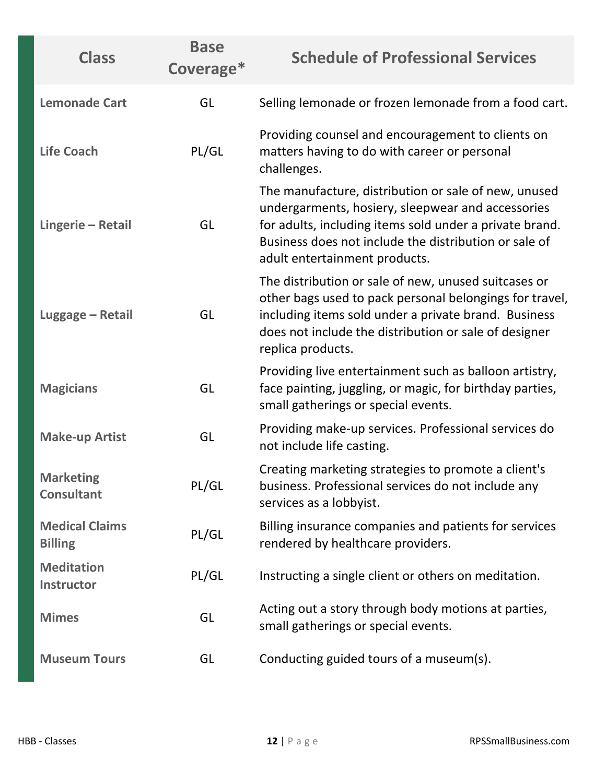| <b>Class</b>                            | <b>Base</b><br>Coverage* | <b>Schedule of Professional Services</b>                                                                                                                                                                                                                       |
|-----------------------------------------|--------------------------|----------------------------------------------------------------------------------------------------------------------------------------------------------------------------------------------------------------------------------------------------------------|
| <b>Lemonade Cart</b>                    | GL                       | Selling lemonade or frozen lemonade from a food cart.                                                                                                                                                                                                          |
| <b>Life Coach</b>                       | PL/GL                    | Providing counsel and encouragement to clients on<br>matters having to do with career or personal<br>challenges.                                                                                                                                               |
| Lingerie - Retail                       | GL                       | The manufacture, distribution or sale of new, unused<br>undergarments, hosiery, sleepwear and accessories<br>for adults, including items sold under a private brand.<br>Business does not include the distribution or sale of<br>adult entertainment products. |
| Luggage - Retail                        | GL                       | The distribution or sale of new, unused suitcases or<br>other bags used to pack personal belongings for travel,<br>including items sold under a private brand. Business<br>does not include the distribution or sale of designer<br>replica products.          |
| <b>Magicians</b>                        | GL                       | Providing live entertainment such as balloon artistry,<br>face painting, juggling, or magic, for birthday parties,<br>small gatherings or special events.                                                                                                      |
| <b>Make-up Artist</b>                   | GL                       | Providing make-up services. Professional services do<br>not include life casting.                                                                                                                                                                              |
| <b>Marketing</b><br><b>Consultant</b>   | PL/GL                    | Creating marketing strategies to promote a client's<br>business. Professional services do not include any<br>services as a lobbyist.                                                                                                                           |
| <b>Medical Claims</b><br><b>Billing</b> | PL/GL                    | Billing insurance companies and patients for services<br>rendered by healthcare providers.                                                                                                                                                                     |
| <b>Meditation</b><br><b>Instructor</b>  | PL/GL                    | Instructing a single client or others on meditation.                                                                                                                                                                                                           |
| <b>Mimes</b>                            | GL                       | Acting out a story through body motions at parties,<br>small gatherings or special events.                                                                                                                                                                     |
| <b>Museum Tours</b>                     | GL                       | Conducting guided tours of a museum(s).                                                                                                                                                                                                                        |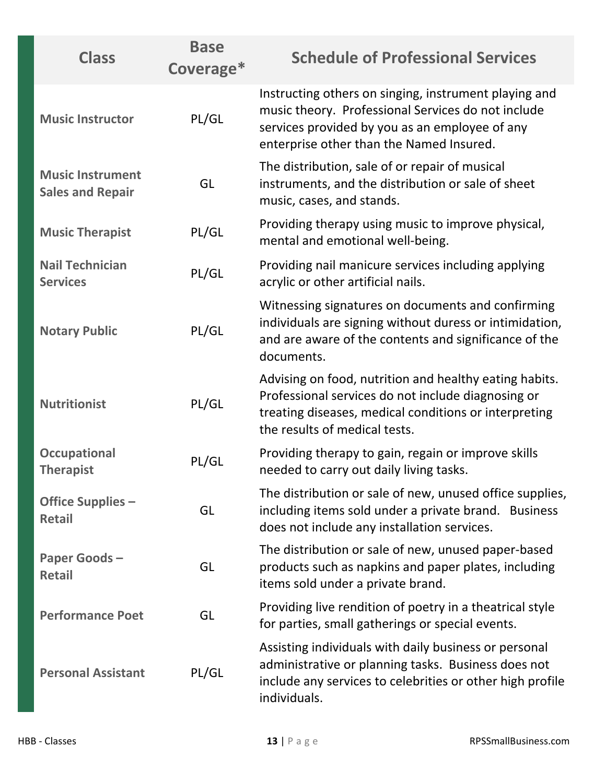| <b>Class</b>                                       | <b>Base</b><br>Coverage* | <b>Schedule of Professional Services</b>                                                                                                                                                                  |
|----------------------------------------------------|--------------------------|-----------------------------------------------------------------------------------------------------------------------------------------------------------------------------------------------------------|
| <b>Music Instructor</b>                            | PL/GL                    | Instructing others on singing, instrument playing and<br>music theory. Professional Services do not include<br>services provided by you as an employee of any<br>enterprise other than the Named Insured. |
| <b>Music Instrument</b><br><b>Sales and Repair</b> | GL                       | The distribution, sale of or repair of musical<br>instruments, and the distribution or sale of sheet<br>music, cases, and stands.                                                                         |
| <b>Music Therapist</b>                             | PL/GL                    | Providing therapy using music to improve physical,<br>mental and emotional well-being.                                                                                                                    |
| <b>Nail Technician</b><br><b>Services</b>          | PL/GL                    | Providing nail manicure services including applying<br>acrylic or other artificial nails.                                                                                                                 |
| <b>Notary Public</b>                               | PL/GL                    | Witnessing signatures on documents and confirming<br>individuals are signing without duress or intimidation,<br>and are aware of the contents and significance of the<br>documents.                       |
| <b>Nutritionist</b>                                | PL/GL                    | Advising on food, nutrition and healthy eating habits.<br>Professional services do not include diagnosing or<br>treating diseases, medical conditions or interpreting<br>the results of medical tests.    |
| <b>Occupational</b><br><b>Therapist</b>            | PL/GL                    | Providing therapy to gain, regain or improve skills<br>needed to carry out daily living tasks.                                                                                                            |
| <b>Office Supplies -</b><br><b>Retail</b>          | GL                       | The distribution or sale of new, unused office supplies,<br>including items sold under a private brand. Business<br>does not include any installation services.                                           |
| <b>Paper Goods-</b><br><b>Retail</b>               | GL                       | The distribution or sale of new, unused paper-based<br>products such as napkins and paper plates, including<br>items sold under a private brand.                                                          |
| <b>Performance Poet</b>                            | GL                       | Providing live rendition of poetry in a theatrical style<br>for parties, small gatherings or special events.                                                                                              |
| <b>Personal Assistant</b>                          | PL/GL                    | Assisting individuals with daily business or personal<br>administrative or planning tasks. Business does not<br>include any services to celebrities or other high profile<br>individuals.                 |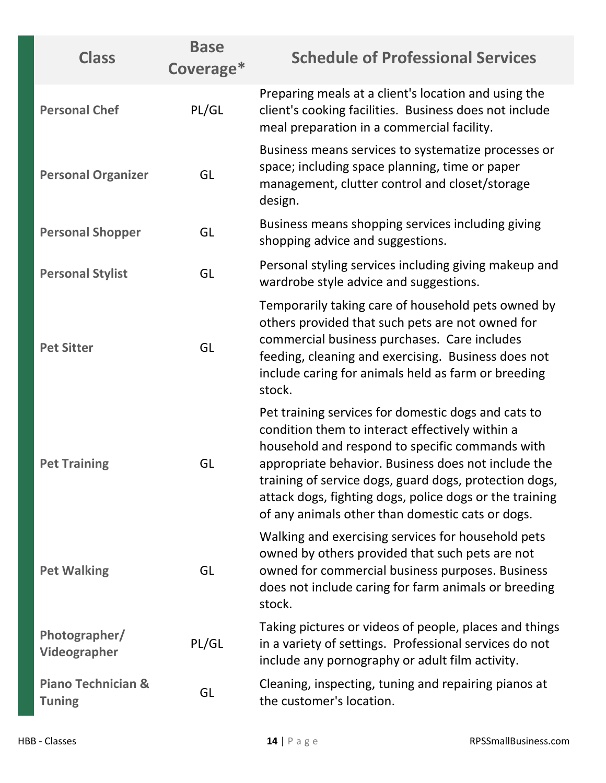| <b>Class</b>                                   | <b>Base</b><br>Coverage* | <b>Schedule of Professional Services</b>                                                                                                                                                                                                                                                                                                                                                  |
|------------------------------------------------|--------------------------|-------------------------------------------------------------------------------------------------------------------------------------------------------------------------------------------------------------------------------------------------------------------------------------------------------------------------------------------------------------------------------------------|
| <b>Personal Chef</b>                           | PL/GL                    | Preparing meals at a client's location and using the<br>client's cooking facilities. Business does not include<br>meal preparation in a commercial facility.                                                                                                                                                                                                                              |
| <b>Personal Organizer</b>                      | GL                       | Business means services to systematize processes or<br>space; including space planning, time or paper<br>management, clutter control and closet/storage<br>design.                                                                                                                                                                                                                        |
| <b>Personal Shopper</b>                        | GL                       | Business means shopping services including giving<br>shopping advice and suggestions.                                                                                                                                                                                                                                                                                                     |
| <b>Personal Stylist</b>                        | GL                       | Personal styling services including giving makeup and<br>wardrobe style advice and suggestions.                                                                                                                                                                                                                                                                                           |
| <b>Pet Sitter</b>                              | GL                       | Temporarily taking care of household pets owned by<br>others provided that such pets are not owned for<br>commercial business purchases. Care includes<br>feeding, cleaning and exercising. Business does not<br>include caring for animals held as farm or breeding<br>stock.                                                                                                            |
| <b>Pet Training</b>                            | GL                       | Pet training services for domestic dogs and cats to<br>condition them to interact effectively within a<br>household and respond to specific commands with<br>appropriate behavior. Business does not include the<br>training of service dogs, guard dogs, protection dogs,<br>attack dogs, fighting dogs, police dogs or the training<br>of any animals other than domestic cats or dogs. |
| <b>Pet Walking</b>                             | GL                       | Walking and exercising services for household pets<br>owned by others provided that such pets are not<br>owned for commercial business purposes. Business<br>does not include caring for farm animals or breeding<br>stock.                                                                                                                                                               |
| Photographer/<br>Videographer                  | PL/GL                    | Taking pictures or videos of people, places and things<br>in a variety of settings. Professional services do not<br>include any pornography or adult film activity.                                                                                                                                                                                                                       |
| <b>Piano Technician &amp;</b><br><b>Tuning</b> | GL                       | Cleaning, inspecting, tuning and repairing pianos at<br>the customer's location.                                                                                                                                                                                                                                                                                                          |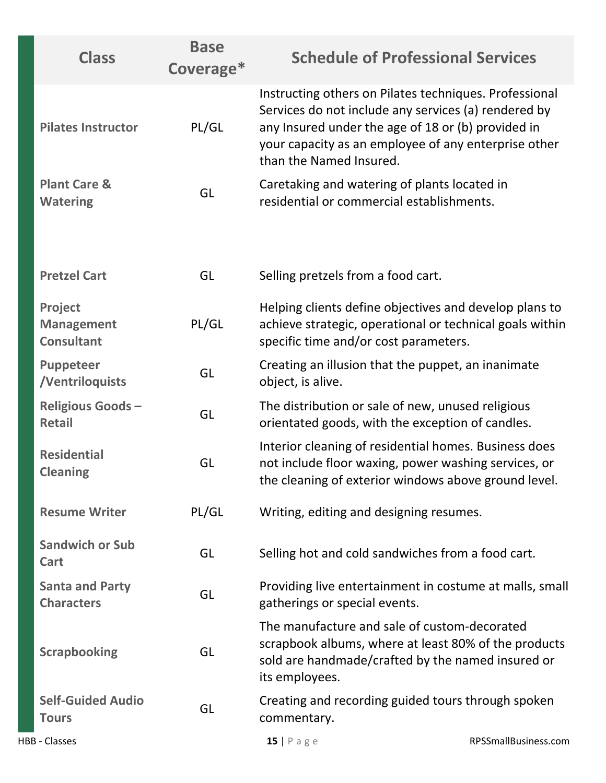| <b>Class</b>                                      | <b>Base</b><br>Coverage* | <b>Schedule of Professional Services</b>                                                                                                                                                                                                                |
|---------------------------------------------------|--------------------------|---------------------------------------------------------------------------------------------------------------------------------------------------------------------------------------------------------------------------------------------------------|
| <b>Pilates Instructor</b>                         | PL/GL                    | Instructing others on Pilates techniques. Professional<br>Services do not include any services (a) rendered by<br>any Insured under the age of 18 or (b) provided in<br>your capacity as an employee of any enterprise other<br>than the Named Insured. |
| <b>Plant Care &amp;</b><br><b>Watering</b>        | GL                       | Caretaking and watering of plants located in<br>residential or commercial establishments.                                                                                                                                                               |
| <b>Pretzel Cart</b>                               | GL                       | Selling pretzels from a food cart.                                                                                                                                                                                                                      |
| Project<br><b>Management</b><br><b>Consultant</b> | PL/GL                    | Helping clients define objectives and develop plans to<br>achieve strategic, operational or technical goals within<br>specific time and/or cost parameters.                                                                                             |
| Puppeteer<br>/Ventriloquists                      | GL                       | Creating an illusion that the puppet, an inanimate<br>object, is alive.                                                                                                                                                                                 |
| <b>Religious Goods-</b><br><b>Retail</b>          | GL                       | The distribution or sale of new, unused religious<br>orientated goods, with the exception of candles.                                                                                                                                                   |
| <b>Residential</b><br><b>Cleaning</b>             | GL                       | Interior cleaning of residential homes. Business does<br>not include floor waxing, power washing services, or<br>the cleaning of exterior windows above ground level.                                                                                   |
| <b>Resume Writer</b>                              | PL/GL                    | Writing, editing and designing resumes.                                                                                                                                                                                                                 |
| <b>Sandwich or Sub</b><br>Cart                    | GL                       | Selling hot and cold sandwiches from a food cart.                                                                                                                                                                                                       |
| <b>Santa and Party</b><br><b>Characters</b>       | GL                       | Providing live entertainment in costume at malls, small<br>gatherings or special events.                                                                                                                                                                |
| <b>Scrapbooking</b>                               | GL                       | The manufacture and sale of custom-decorated<br>scrapbook albums, where at least 80% of the products<br>sold are handmade/crafted by the named insured or<br>its employees.                                                                             |
| <b>Self-Guided Audio</b><br><b>Tours</b>          | GL                       | Creating and recording guided tours through spoken<br>commentary.                                                                                                                                                                                       |
| <b>HBB - Classes</b>                              |                          | RPSSmallBusiness.com<br>$15$   Page                                                                                                                                                                                                                     |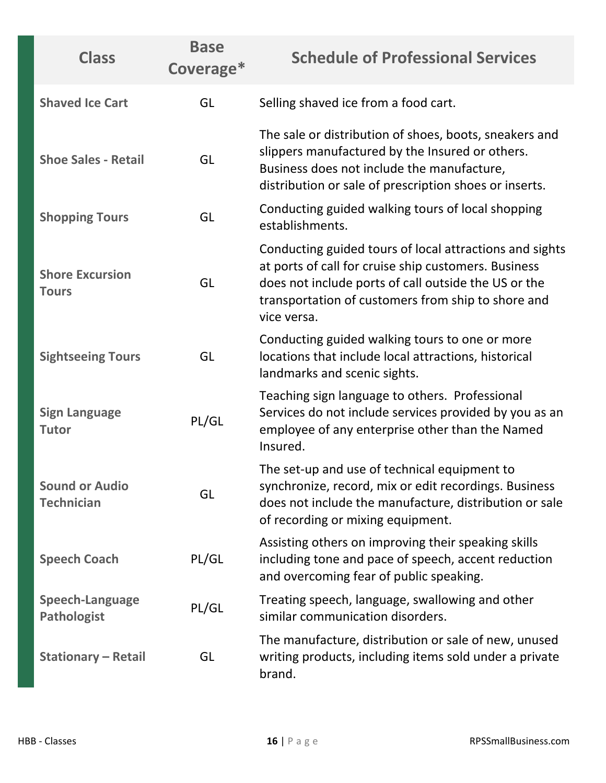| <b>Class</b>                                 | <b>Base</b><br>Coverage* | <b>Schedule of Professional Services</b>                                                                                                                                                                                                     |
|----------------------------------------------|--------------------------|----------------------------------------------------------------------------------------------------------------------------------------------------------------------------------------------------------------------------------------------|
| <b>Shaved Ice Cart</b>                       | GL                       | Selling shaved ice from a food cart.                                                                                                                                                                                                         |
| <b>Shoe Sales - Retail</b>                   | GL                       | The sale or distribution of shoes, boots, sneakers and<br>slippers manufactured by the Insured or others.<br>Business does not include the manufacture,<br>distribution or sale of prescription shoes or inserts.                            |
| <b>Shopping Tours</b>                        | GL                       | Conducting guided walking tours of local shopping<br>establishments.                                                                                                                                                                         |
| <b>Shore Excursion</b><br><b>Tours</b>       | GL                       | Conducting guided tours of local attractions and sights<br>at ports of call for cruise ship customers. Business<br>does not include ports of call outside the US or the<br>transportation of customers from ship to shore and<br>vice versa. |
| <b>Sightseeing Tours</b>                     | GL                       | Conducting guided walking tours to one or more<br>locations that include local attractions, historical<br>landmarks and scenic sights.                                                                                                       |
| <b>Sign Language</b><br><b>Tutor</b>         | PL/GL                    | Teaching sign language to others. Professional<br>Services do not include services provided by you as an<br>employee of any enterprise other than the Named<br>Insured.                                                                      |
| <b>Sound or Audio</b><br><b>Technician</b>   | GL                       | The set-up and use of technical equipment to<br>synchronize, record, mix or edit recordings. Business<br>does not include the manufacture, distribution or sale<br>of recording or mixing equipment.                                         |
| <b>Speech Coach</b>                          | PL/GL                    | Assisting others on improving their speaking skills<br>including tone and pace of speech, accent reduction<br>and overcoming fear of public speaking.                                                                                        |
| <b>Speech-Language</b><br><b>Pathologist</b> | PL/GL                    | Treating speech, language, swallowing and other<br>similar communication disorders.                                                                                                                                                          |
| <b>Stationary - Retail</b>                   | GL                       | The manufacture, distribution or sale of new, unused<br>writing products, including items sold under a private<br>brand.                                                                                                                     |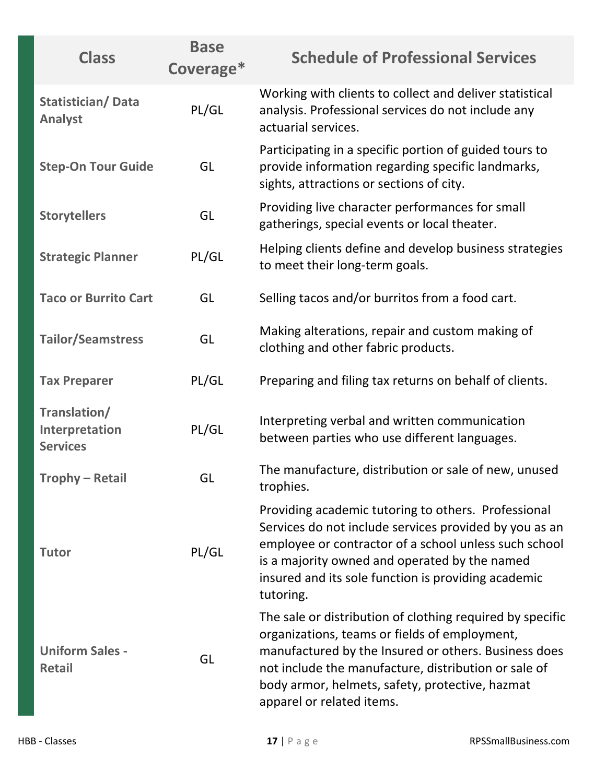| <b>Class</b>                                      | <b>Base</b><br>Coverage* | <b>Schedule of Professional Services</b>                                                                                                                                                                                                                                                                   |
|---------------------------------------------------|--------------------------|------------------------------------------------------------------------------------------------------------------------------------------------------------------------------------------------------------------------------------------------------------------------------------------------------------|
| <b>Statistician/Data</b><br><b>Analyst</b>        | PL/GL                    | Working with clients to collect and deliver statistical<br>analysis. Professional services do not include any<br>actuarial services.                                                                                                                                                                       |
| <b>Step-On Tour Guide</b>                         | GL                       | Participating in a specific portion of guided tours to<br>provide information regarding specific landmarks,<br>sights, attractions or sections of city.                                                                                                                                                    |
| <b>Storytellers</b>                               | GL                       | Providing live character performances for small<br>gatherings, special events or local theater.                                                                                                                                                                                                            |
| <b>Strategic Planner</b>                          | PL/GL                    | Helping clients define and develop business strategies<br>to meet their long-term goals.                                                                                                                                                                                                                   |
| <b>Taco or Burrito Cart</b>                       | GL                       | Selling tacos and/or burritos from a food cart.                                                                                                                                                                                                                                                            |
| <b>Tailor/Seamstress</b>                          | GL                       | Making alterations, repair and custom making of<br>clothing and other fabric products.                                                                                                                                                                                                                     |
| <b>Tax Preparer</b>                               | PL/GL                    | Preparing and filing tax returns on behalf of clients.                                                                                                                                                                                                                                                     |
| Translation/<br>Interpretation<br><b>Services</b> | PL/GL                    | Interpreting verbal and written communication<br>between parties who use different languages.                                                                                                                                                                                                              |
| Trophy – Retail                                   | GL                       | The manufacture, distribution or sale of new, unused<br>trophies.                                                                                                                                                                                                                                          |
| <b>Tutor</b>                                      | PL/GL                    | Providing academic tutoring to others. Professional<br>Services do not include services provided by you as an<br>employee or contractor of a school unless such school<br>is a majority owned and operated by the named<br>insured and its sole function is providing academic<br>tutoring.                |
| <b>Uniform Sales -</b><br><b>Retail</b>           | GL                       | The sale or distribution of clothing required by specific<br>organizations, teams or fields of employment,<br>manufactured by the Insured or others. Business does<br>not include the manufacture, distribution or sale of<br>body armor, helmets, safety, protective, hazmat<br>apparel or related items. |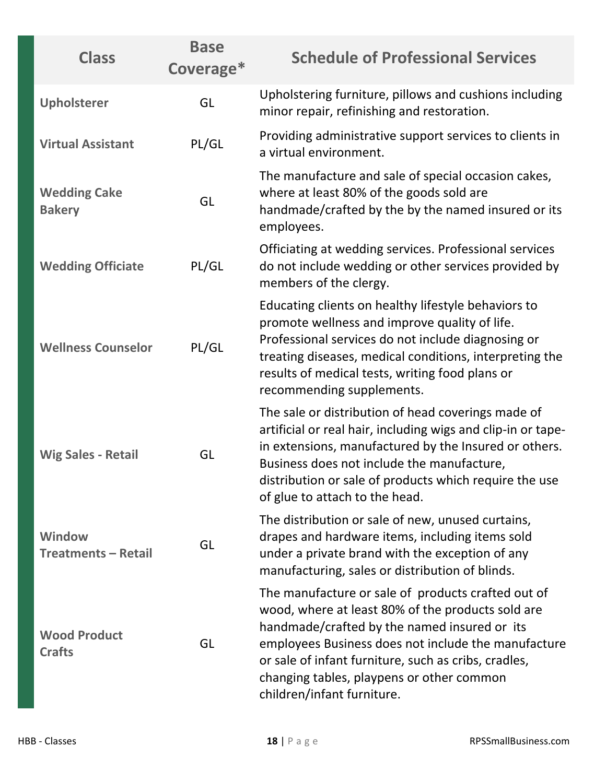| <b>Class</b>                                | <b>Base</b><br>Coverage* | <b>Schedule of Professional Services</b>                                                                                                                                                                                                                                                                                                          |
|---------------------------------------------|--------------------------|---------------------------------------------------------------------------------------------------------------------------------------------------------------------------------------------------------------------------------------------------------------------------------------------------------------------------------------------------|
| Upholsterer                                 | GL                       | Upholstering furniture, pillows and cushions including<br>minor repair, refinishing and restoration.                                                                                                                                                                                                                                              |
| <b>Virtual Assistant</b>                    | PL/GL                    | Providing administrative support services to clients in<br>a virtual environment.                                                                                                                                                                                                                                                                 |
| <b>Wedding Cake</b><br><b>Bakery</b>        | GL                       | The manufacture and sale of special occasion cakes,<br>where at least 80% of the goods sold are<br>handmade/crafted by the by the named insured or its<br>employees.                                                                                                                                                                              |
| <b>Wedding Officiate</b>                    | PL/GL                    | Officiating at wedding services. Professional services<br>do not include wedding or other services provided by<br>members of the clergy.                                                                                                                                                                                                          |
| <b>Wellness Counselor</b>                   | PL/GL                    | Educating clients on healthy lifestyle behaviors to<br>promote wellness and improve quality of life.<br>Professional services do not include diagnosing or<br>treating diseases, medical conditions, interpreting the<br>results of medical tests, writing food plans or<br>recommending supplements.                                             |
| <b>Wig Sales - Retail</b>                   | GL                       | The sale or distribution of head coverings made of<br>artificial or real hair, including wigs and clip-in or tape-<br>in extensions, manufactured by the Insured or others.<br>Business does not include the manufacture,<br>distribution or sale of products which require the use<br>of glue to attach to the head.                             |
| <b>Window</b><br><b>Treatments - Retail</b> | GL                       | The distribution or sale of new, unused curtains,<br>drapes and hardware items, including items sold<br>under a private brand with the exception of any<br>manufacturing, sales or distribution of blinds.                                                                                                                                        |
| <b>Wood Product</b><br><b>Crafts</b>        | GL                       | The manufacture or sale of products crafted out of<br>wood, where at least 80% of the products sold are<br>handmade/crafted by the named insured or its<br>employees Business does not include the manufacture<br>or sale of infant furniture, such as cribs, cradles,<br>changing tables, playpens or other common<br>children/infant furniture. |